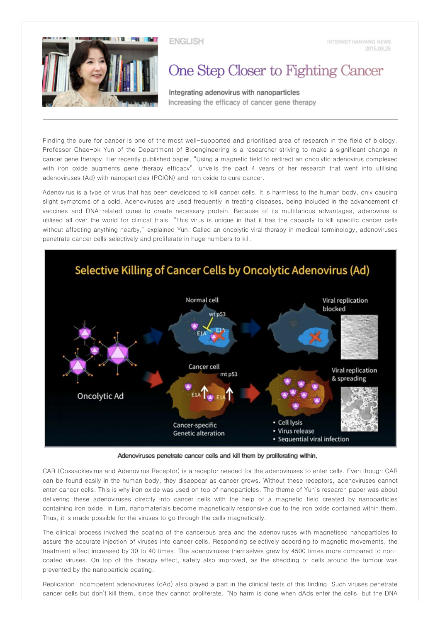

**ENGLISH** 

## One Step Closer to Fighting Cancer

Integrating adenovirus with nanoparticles Increasing the efficacy of cancer gene therapy

Finding the cure for cancer is one of the most well-supported and prioritised area of research in the field of biology. Professor Chae-ok Yun of the Department of Bioengineering is a researcher striving to make a significant change in cancer gene therapy. Her recently published paper, "Using a magnetic field to redirect an oncolytic adenovirus complexed with iron oxide augments gene therapy efficacy", unveils the past 4 years of her research that went into utilising adenoviruses (Ad) with nanoparticles (PCION) and iron oxide to cure cancer.

Adenovirus is a type of virus that has been developed to kill cancer cells. It is harmless to the human body, only causing slight symptoms of a cold. Adenoviruses are used frequently in treating diseases, being included in the advancement of vaccines and DNA-related cures to create necessary protein. Because of its multifarious advantages, adenovirus is utilised all over the world for clinical trials. "This virus is unique in that it has the capacity to kill specific cancer cells without affecting anything nearby," explained Yun. Called an oncolytic viral therapy in medical terminology, adenoviruses penetrate cancer cells selectively and proliferate in huge numbers to kill.



Adenoviruses penetrate cancer cells and kill them by proliferating within,

CAR (Coxsackievirus and Adenovirus Receptor) is a receptor needed for the adenoviruses to enter cells. Even though CAR can be found easily in the human body, they disappear as cancer grows. Without these receptors, adenoviruses cannot enter cancer cells. This is why iron oxide was used on top of nanoparticles. The theme of Yun's research paper was about delivering these adenoviruses directly into cancer cells with the help of a magnetic field created by nanoparticles containing iron oxide. In turn, nanomaterials become magnetically responsive due to the iron oxide contained within them. Thus, it is made possible for the viruses to go through the cells magnetically.

The clinical process involved the coating of the cancerous area and the adenoviruses with magnetised nanoparticles to assure the accurate injection of viruses into cancer cells. Responding selectively according to magnetic movements, the treatment effect increased by 30 to 40 times. The adenoviruses themselves grew by 4500 times more compared to noncoated viruses. On top of the therapy effect, safety also improved, as the shedding of cells around the tumour was prevented by the nanoparticle coating.

Replication-incompetent adenoviruses (dAd) also played a part in the clinical tests of this finding. Such viruses penetrate cancer cells but don't kill them, since they cannot proliferate. "No harm is done when dAds enter the cells, but the DNA